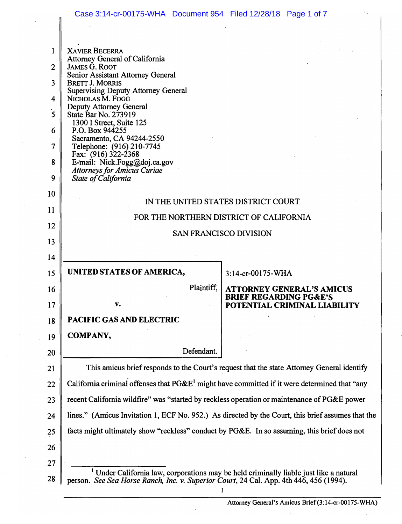|                | Case 3:14-cr-00175-WHA Document 954 Filed 12/28/18 Page 1 of 7                                                                                                                              |                                                                   |  |
|----------------|---------------------------------------------------------------------------------------------------------------------------------------------------------------------------------------------|-------------------------------------------------------------------|--|
|                |                                                                                                                                                                                             |                                                                   |  |
| 1              | <b>XAVIER BECERRA</b>                                                                                                                                                                       |                                                                   |  |
| $\overline{2}$ | Attorney General of California<br><b>JAMES G. ROOT</b>                                                                                                                                      |                                                                   |  |
| $\overline{3}$ | Senior Assistant Attorney General                                                                                                                                                           |                                                                   |  |
|                | <b>BRETT J. MORRIS</b><br><b>Supervising Deputy Attorney General</b>                                                                                                                        |                                                                   |  |
| 4              | NICHOLAS M. FOGG<br>Deputy Attorney General                                                                                                                                                 |                                                                   |  |
| 5              | State Bar No. 273919<br>1300 I Street, Suite 125                                                                                                                                            |                                                                   |  |
| 6              | P.O. Box 944255<br>Sacramento, CA 94244-2550                                                                                                                                                |                                                                   |  |
| 7              | Telephone: (916) 210-7745<br>Fax: $(916)$ 322-2368                                                                                                                                          |                                                                   |  |
| 8              | E-mail: Nick.Fogg@doj.ca.gov<br><b>Attorneys for Amicus Curiae</b>                                                                                                                          |                                                                   |  |
| 9              | State of California                                                                                                                                                                         |                                                                   |  |
| 10             |                                                                                                                                                                                             |                                                                   |  |
| 11             | IN THE UNITED STATES DISTRICT COURT                                                                                                                                                         |                                                                   |  |
| 12             | FOR THE NORTHERN DISTRICT OF CALIFORNIA                                                                                                                                                     |                                                                   |  |
| 13             | SAN FRANCISCO DIVISION                                                                                                                                                                      |                                                                   |  |
| 14             |                                                                                                                                                                                             |                                                                   |  |
| 15             | UNITED STATES OF AMERICA,                                                                                                                                                                   | 3:14-cr-00175-WHA                                                 |  |
| 16             | Plaintiff,                                                                                                                                                                                  | <b>ATTORNEY GENERAL'S AMICUS</b>                                  |  |
| 17             | v.                                                                                                                                                                                          | <b>BRIEF REGARDING PG&amp;E'S</b><br>POTENTIAL CRIMINAL LIABILITY |  |
| 18             | <b>PACIFIC GAS AND ELECTRIC</b>                                                                                                                                                             |                                                                   |  |
| 19             | <b>COMPANY,</b>                                                                                                                                                                             |                                                                   |  |
| 20             | Defendant.                                                                                                                                                                                  |                                                                   |  |
| 21             | This amicus brief responds to the Court's request that the state Attorney General identify                                                                                                  |                                                                   |  |
| 22             | California criminal offenses that $P G \& E^1$ might have committed if it were determined that "any                                                                                         |                                                                   |  |
| 23             | recent California wildfire" was "started by reckless operation or maintenance of PG&E power                                                                                                 |                                                                   |  |
| 24             | lines." (Amicus Invitation 1, ECF No. 952.) As directed by the Court, this brief assumes that the                                                                                           |                                                                   |  |
| 25             | facts might ultimately show "reckless" conduct by PG&E. In so assuming, this brief does not                                                                                                 |                                                                   |  |
| 26             |                                                                                                                                                                                             |                                                                   |  |
| 27             |                                                                                                                                                                                             |                                                                   |  |
| 28             | <sup>1</sup> Under California law, corporations may be held criminally liable just like a natural<br>person. See Sea Horse Ranch, Inc. v. Superior Court, 24 Cal. App. 4th 446, 456 (1994). |                                                                   |  |

l,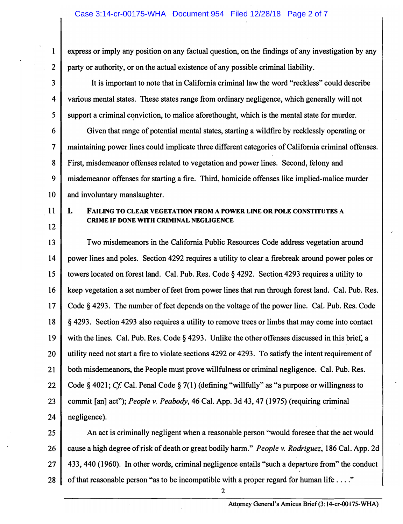**1 express or imply any position on any factual question, on the findings of any investigation by any 2 party or authority, or on the actual existence of any possible criminal liability.** 

**3 It is important to note that in California criminal law the word "reckless" could describe 4 various mental states. These states range from ordinary negligence, which generally will not 5** Support a criminal conviction, to malice aforethought, which is the mental state for murder.

**6 Given that range of potential mental states, starting a wildfire by recklessly operating or 7 maintaining power lines could implicate three different categories of California criminal offenses. 8 First, misdemeanor offenses related to vegetation and power lines. Second, felony and 9 misdemeanor offenses for starting a fire. Third, homicide offenses like implied-malice murder**  10 and involuntary manslaughter.

**11 I. 12** 

#### **FAILING TO CLEAR VEGETATION FROM A POWER LINE OR POLE CONSTITUTES A CRIME IF DONE WITH CRIMINAL NEGLIGENCE**

**13 Two misdemeanors in the California Public Resources Code address vegetation around 14 power lines and poles. Section 4292 requires a utility to clear a firebreak around power poles or 15 towers located on forest land. Cal. Pub. Res. Code § 4292. Section 4293 requires a utility to 16 keep vegetation a set number of feet from power lines that run through forest land. Cal. Pub. Res. 17 Code§ 4293. The number of feet depends on the voltage of the power line. Cal. Pub. Res. Code 18 § 4293. Section 4293 also requires a utility to remove trees or limbs that may come into contact 19 with the lines. Cal. Pub. Res. Code § 4293. Unlike the other offenses discussed in this brief, a 20 utility need not start a fire to violate sections 4292 or 4293. To satisfy the intent requirement of 21 both misdemeanors, the People must prove willfulness or criminal negligence. Cal. Pub. Res. 22 Code** *§* **4021;** *Cf* **Cal. Penal Code § 7( 1) ( defining "willfully" as "a purpose or willingness to 23 commit [an] act");** *People v. Peabody,* **46 Cal. App. 3d 43, 47 (1975) (requiring criminal 24 negligence).** 

**25 An act is criminally negligent when a reasonable person "would foresee that the act would 26 cause a high degree of risk of death or great bodily harm."** *People v. Rodriguez,* **186 Cal. App. 2d 27 433, 440 (1960). In other words, criminal negligence entails "such a departure from" the conduct**  28 of that reasonable person "as to be incompatible with a proper regard for human life . . . "

2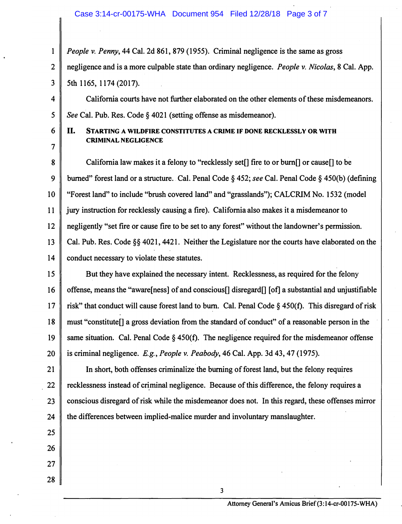1 *People v. Penny,* 44 Cal. 2d 861,879 (1955). Criminal negligence is the same as gross 2 negligence and is a more culpable state than ordinary negligence. *People v. Nicolas,* 8 Cal. App.  $3 \parallel 5th$  1165, 1174 (2017).

4 California courts have not further elaborated on the other elements of these misdemeanors. 5 *See* Cal. Pub. Res. Code § 4021 (setting offense as misdemeanor).

 $\overline{7}$ 

### 6 II. **STARTING A WILDFIRE CONSTITUTES A CRIME IF DONE RECKLESSLY OR WITH CRIMINAL NEGLIGENCE**

8 California law makes it a felony to "recklessly set<sup>[]</sup> fire to or burn<sup>[]</sup> or cause<sup>[]</sup> to be 9 burned" forest land or a structure. Cal. Penal Code§ 452; *see* Cal. Penal Code§ 450(b) (defining 10 "Forest land" to include "brush covered land" and "grasslands"); CALCRIM No. 1532 (model 11 jury instruction for recklessly causing a fire). California also makes it a misdemeanor to 12 negligently "set fire or cause fire to be set to any forest" without the landowner's permission. 13 Cal. Pub. Res. Code §§ 4021, 4421. Neither the Legislature nor the courts have elaborated on the 14 conduct necessary to violate these statutes.

15 But they have explained the necessary intent. Recklessness, as required for the felony 16 offense, means the "aware [ness] of and conscious [] disregard [] [of] a substantial and unjustifiable 17  $\parallel$  risk" that conduct will cause forest land to burn. Cal. Penal Code § 450(f). This disregard of risk 18 must "constitute[] a gross deviation from the standard of conduct" of a reasonable person in the 19 same situation. Cal. Penal Code  $\S$  450(f). The negligence required for the misdemeanor offense 20 is criminal negligence. *E.g., People v. Peabody,* 46 Cal. App. 3d 43, 47 (1975).

21 In short, both offenses criminalize the burning of forest land, but the felony requires  $22 \parallel$  recklessness instead of criminal negligence. Because of this difference, the felony requires a 23 conscious disregard of risk while the misdemeanor does not. In this regard, these offenses mirror 24 the differences between implied-malice murder and involuntary manslaughter.

3

- 25
- 26 27
- 28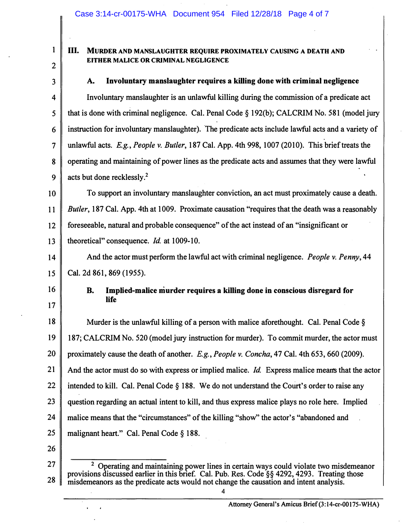### **Ill. MURDER AND MANSLAUGHTER REQUIRE PROXIMATELY CAUSING A DEATH AND EITHER MALICE OR CRIMINAL NEGLIGENCE**

2 3

1

### **A. Involuntary manslaughter requires a killing done with criminal negligence**

4 Involuntary manslaughter is an unlawful killing during the commission of a predicate act 5 that is done with criminal negligence. Cal. Penal Code § 192(b ); CALCRIM No. 581 (model jury 6 instruction for involuntary manslaughter). The predicate acts include lawful acts and a variety of 7 unlawful acts. *E.g., People v. Butler,* 187 Cal. App. 4th 998, 1007 (2010). This brief treats the 8 operating and maintaining of power lines as the predicate acts and assumes that they were lawful 9  $\parallel$  acts but done recklessly.<sup>2</sup>

10 To support an involuntary manslaughter conviction, an act must proximately cause a death. 11 *Butler,* 187 Cal. App. 4th at 1009. Proximate causation "requires that the death was a reasonably 12 foreseeable, natural and probable consequence" of the act instead of an "insignificant or 13 theoretical" consequence. *Id* at 1009-10.

14 And the actor must perform the lawful act with criminal negligence. *People v. Penny*, 44 15 Cal. 2d 861, 869 (1955).

16 17

## **B. Implied-malice murder requires a killing done in conscious disregard for life**

18 Murder is the unlawful killing of a person with malice aforethought. Cal. Penal Code  $\S$ 19 187; CALCRIM No. 520 (model jury instruction for murder). To commit murder, the actor must 20 proximately cause the death of another. *E.g., People v. Concha,* 47 Cal. 4th 653, 660 (2009). 21 And the actor must do so with express or implied malice. *Id.* Express malice means that the actor 22 intended to kill. Cal. Penal Code § 188. We do not understand the Court's order to raise any 23 question regarding an actual intent to kill, and thus express malice plays no role here. Implied 24 malice means that the "circumstances" of the killing "show" the actor's "abandoned and 25  $\parallel$  malignant heart." Cal. Penal Code § 188.

26

27 28 <sup>2</sup> Operating and maintaining power lines in certain ways could violate two misdemeanor provisions discussed earlier in this brief. Cal. Pub. Res. Code§§ 4292, 4293. Treating those misdemeanors as the predicate acts would not change the causation and intent analysis.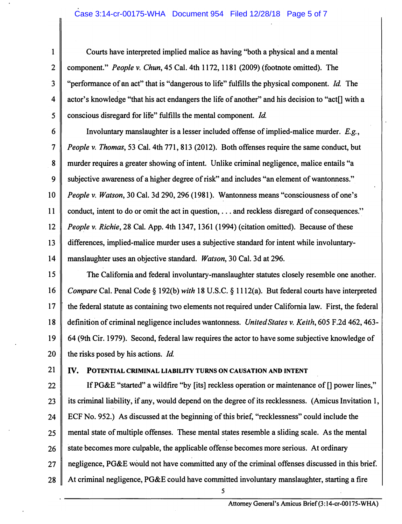**1 Courts have interpreted implied malice as having "both a physical and a mental· 2 component."** *People v. Chun,* **45 Cal. 4th 1172, 1181 (2009) (footnote omitted). The 3 "performance of an act" that is "dangerous to life" fulfills the physical component.** *Id.* **The 4** actor's knowledge "that his act endangers the life of another" and his decision to "act<sup>[]</sup> with a *5* **conscious disregard for life" fulfills the mental component.** *Id*

**6 Involuntary manslaughter is a lesser included offense of implied-malice murder.** *E.g.,*  **7** *People v. Thomas,* **53 Cal. 4th 771, 813 (2012). Both offenses require the same conduct, but 8 murder requires a greater showing of intent. Unlike criminal negligence, malice entails "a 9 subjective awareness of a higher degree of risk" and includes "an element of wantonness." 10** *People v. Watson,* **30 Cal. 3d 290,296 (1981). Wantonness means "consciousness of one's 11 conduct, intent to do or omit the act in question, . .. and reckless disregard of consequences.'' 12** *People v. Richie,* **28 Cal. App. 4th 1347, 1361 (1994) (citation omitted). Because of these 13 differences, implied-malice murder uses a subjective standard for intent while involuntary-14 manslaughter uses an objective standard.** *Watson,* **30 Cal. 3d at 296.** 

**15 The California and federal involuntary-manslaughter statutes closely resemble one another. 16** *Compare* **Cal. Penal Code§ 192(b)** *with* **18 U.S.C. § 1112(a). But federal courts have interpreted 17 the federal statute as containing two elements not required under California law. First, the federal 18 definition of criminal negligence includes wantonness.** *United States v. Keith,* **605 F .2d 462, 463- 19 64 (9th Cir. 1979). Second, federal law requires the actor to have some subjective knowledge of**  20 the risks posed by his actions. *Id*.

### **21 IV. POTENTIAL CRIMINAL LIABILITY TURNS ON CAUSATION AND INTENT**

**22 If PG&E "started" a wildfire "by [its] reckless operation or maintenance of[] power lines,"**  23 **i** its criminal liability, if any, would depend on the degree of its recklessness. (Amicus Invitation 1, 24 ECF No. 952.) As discussed at the beginning of this brief, "recklessness" could include the **25 mental state of multiple offenses. These mental states resemble a sliding scale. As the mental**  26 **State-becomes more culpable, the applicable offense becomes more serious.** At ordinary **27 negligence, PG&E would not have committed any of the criminal offenses discussed in this brief. 28 At criminal negligence, PG&E could have committed involuntary manslaughter, starting a fire** 

*5*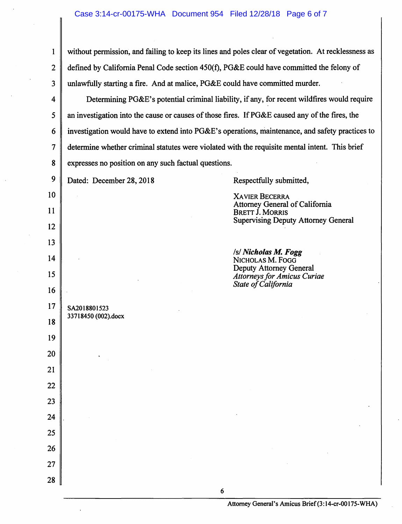1 without permission, and failing to keep its lines and poles clear of vegetation. At recklessness as 2 defined by California Penal Code section 450(f), PG&E could have committed the felony of 3 unlawfully starting a fire. And at malice, PG&E could have committed murder.

4 Determining PG&E's potential criminal liability, if any, for recent wildfires would require 5  $\parallel$  an investigation into the cause or causes of those fires. If PG&E caused any of the fires, the 6 investigation would have to extend into  $P G \& E$ 's operations, maintenance, and safety practices to 7 determine whether criminal statutes were violated with the requisite mental intent. This brief 8 expresses no position on any such factual questions.

| У  | Dated: December 28, 2018            | Respectfully submitted,                                                                                                         |
|----|-------------------------------------|---------------------------------------------------------------------------------------------------------------------------------|
| 10 |                                     | <b>XAVIER BECERRA</b><br>Attorney General of California<br><b>BRETT J. MORRIS</b><br><b>Supervising Deputy Attorney General</b> |
| 11 |                                     |                                                                                                                                 |
| 12 |                                     |                                                                                                                                 |
| 13 |                                     |                                                                                                                                 |
| 14 |                                     | /s/ Nicholas M. Fogg<br>NICHOLAS M. FOGG<br>Deputy Attorney General                                                             |
| 15 | SA2018801523<br>33718450 (002).docx | <b>Attorneys for Amicus Curiae</b><br>State of California                                                                       |
| 16 |                                     |                                                                                                                                 |
| 17 |                                     |                                                                                                                                 |
| 18 |                                     |                                                                                                                                 |
| 19 |                                     |                                                                                                                                 |
| 20 |                                     |                                                                                                                                 |
| 21 |                                     |                                                                                                                                 |
| 22 |                                     |                                                                                                                                 |
| 23 |                                     |                                                                                                                                 |
| 24 |                                     |                                                                                                                                 |
| 25 |                                     |                                                                                                                                 |
| 26 |                                     |                                                                                                                                 |
| 27 |                                     |                                                                                                                                 |
| 28 |                                     |                                                                                                                                 |
|    |                                     | 6                                                                                                                               |